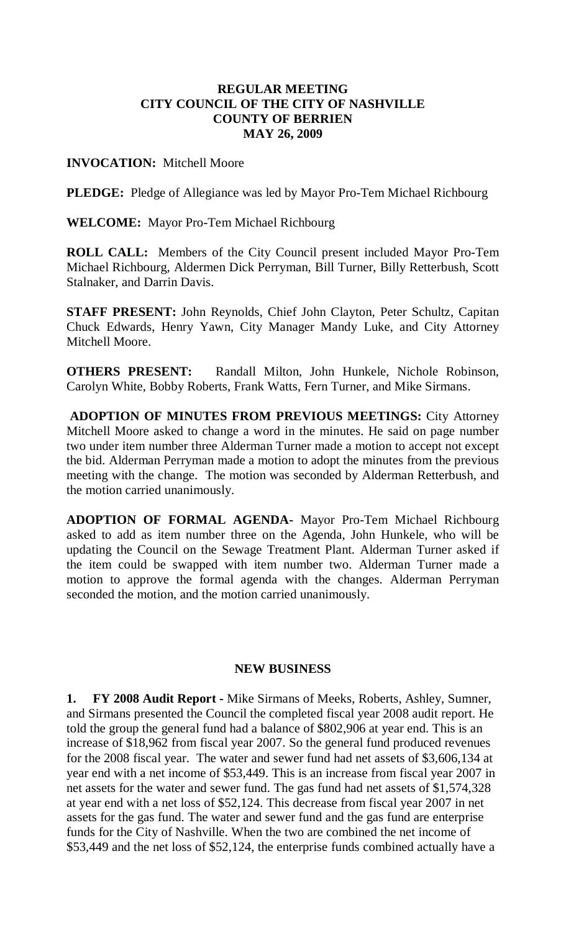# **REGULAR MEETING CITY COUNCIL OF THE CITY OF NASHVILLE COUNTY OF BERRIEN MAY 26, 2009**

## **INVOCATION:** Mitchell Moore

**PLEDGE:** Pledge of Allegiance was led by Mayor Pro-Tem Michael Richbourg

**WELCOME:** Mayor Pro-Tem Michael Richbourg

**ROLL CALL:** Members of the City Council present included Mayor Pro-Tem Michael Richbourg, Aldermen Dick Perryman, Bill Turner, Billy Retterbush, Scott Stalnaker, and Darrin Davis.

**STAFF PRESENT:** John Reynolds, Chief John Clayton, Peter Schultz, Capitan Chuck Edwards, Henry Yawn, City Manager Mandy Luke, and City Attorney Mitchell Moore.

**OTHERS PRESENT:** Randall Milton, John Hunkele, Nichole Robinson, Carolyn White, Bobby Roberts, Frank Watts, Fern Turner, and Mike Sirmans.

**ADOPTION OF MINUTES FROM PREVIOUS MEETINGS:** City Attorney Mitchell Moore asked to change a word in the minutes. He said on page number two under item number three Alderman Turner made a motion to accept not except the bid. Alderman Perryman made a motion to adopt the minutes from the previous meeting with the change. The motion was seconded by Alderman Retterbush, and the motion carried unanimously.

**ADOPTION OF FORMAL AGENDA-** Mayor Pro-Tem Michael Richbourg asked to add as item number three on the Agenda, John Hunkele, who will be updating the Council on the Sewage Treatment Plant. Alderman Turner asked if the item could be swapped with item number two. Alderman Turner made a motion to approve the formal agenda with the changes. Alderman Perryman seconded the motion, and the motion carried unanimously.

### **NEW BUSINESS**

**1. FY 2008 Audit Report -** Mike Sirmans of Meeks, Roberts, Ashley, Sumner, and Sirmans presented the Council the completed fiscal year 2008 audit report. He told the group the general fund had a balance of \$802,906 at year end. This is an increase of \$18,962 from fiscal year 2007. So the general fund produced revenues for the 2008 fiscal year. The water and sewer fund had net assets of \$3,606,134 at year end with a net income of \$53,449. This is an increase from fiscal year 2007 in net assets for the water and sewer fund. The gas fund had net assets of \$1,574,328 at year end with a net loss of \$52,124. This decrease from fiscal year 2007 in net assets for the gas fund. The water and sewer fund and the gas fund are enterprise funds for the City of Nashville. When the two are combined the net income of \$53,449 and the net loss of \$52,124, the enterprise funds combined actually have a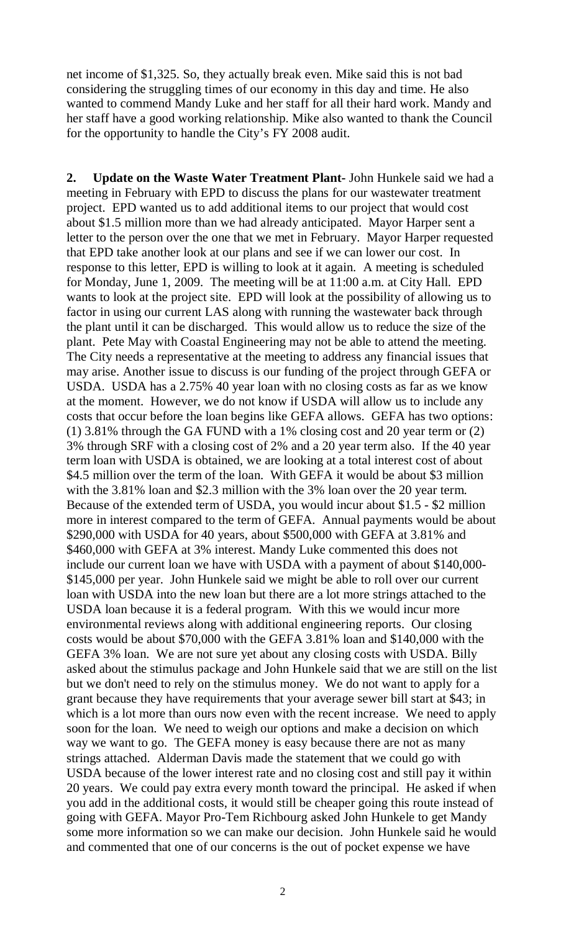net income of \$1,325. So, they actually break even. Mike said this is not bad considering the struggling times of our economy in this day and time. He also wanted to commend Mandy Luke and her staff for all their hard work. Mandy and her staff have a good working relationship. Mike also wanted to thank the Council for the opportunity to handle the City's FY 2008 audit.

**2. Update on the Waste Water Treatment Plant-** John Hunkele said we had a meeting in February with EPD to discuss the plans for our wastewater treatment project. EPD wanted us to add additional items to our project that would cost about \$1.5 million more than we had already anticipated. Mayor Harper sent a letter to the person over the one that we met in February. Mayor Harper requested that EPD take another look at our plans and see if we can lower our cost. In response to this letter, EPD is willing to look at it again. A meeting is scheduled for Monday, June 1, 2009. The meeting will be at 11:00 a.m. at City Hall. EPD wants to look at the project site. EPD will look at the possibility of allowing us to factor in using our current LAS along with running the wastewater back through the plant until it can be discharged. This would allow us to reduce the size of the plant. Pete May with Coastal Engineering may not be able to attend the meeting. The City needs a representative at the meeting to address any financial issues that may arise. Another issue to discuss is our funding of the project through GEFA or USDA. USDA has a 2.75% 40 year loan with no closing costs as far as we know at the moment. However, we do not know if USDA will allow us to include any costs that occur before the loan begins like GEFA allows. GEFA has two options: (1) 3.81% through the GA FUND with a 1% closing cost and 20 year term or (2) 3% through SRF with a closing cost of 2% and a 20 year term also. If the 40 year term loan with USDA is obtained, we are looking at a total interest cost of about \$4.5 million over the term of the loan. With GEFA it would be about \$3 million with the 3.81% loan and \$2.3 million with the 3% loan over the 20 year term. Because of the extended term of USDA, you would incur about \$1.5 - \$2 million more in interest compared to the term of GEFA. Annual payments would be about \$290,000 with USDA for 40 years, about \$500,000 with GEFA at 3.81% and \$460,000 with GEFA at 3% interest. Mandy Luke commented this does not include our current loan we have with USDA with a payment of about \$140,000- \$145,000 per year. John Hunkele said we might be able to roll over our current loan with USDA into the new loan but there are a lot more strings attached to the USDA loan because it is a federal program. With this we would incur more environmental reviews along with additional engineering reports. Our closing costs would be about \$70,000 with the GEFA 3.81% loan and \$140,000 with the GEFA 3% loan. We are not sure yet about any closing costs with USDA. Billy asked about the stimulus package and John Hunkele said that we are still on the list but we don't need to rely on the stimulus money. We do not want to apply for a grant because they have requirements that your average sewer bill start at \$43; in which is a lot more than ours now even with the recent increase. We need to apply soon for the loan. We need to weigh our options and make a decision on which way we want to go. The GEFA money is easy because there are not as many strings attached. Alderman Davis made the statement that we could go with USDA because of the lower interest rate and no closing cost and still pay it within 20 years. We could pay extra every month toward the principal. He asked if when you add in the additional costs, it would still be cheaper going this route instead of going with GEFA. Mayor Pro-Tem Richbourg asked John Hunkele to get Mandy some more information so we can make our decision. John Hunkele said he would and commented that one of our concerns is the out of pocket expense we have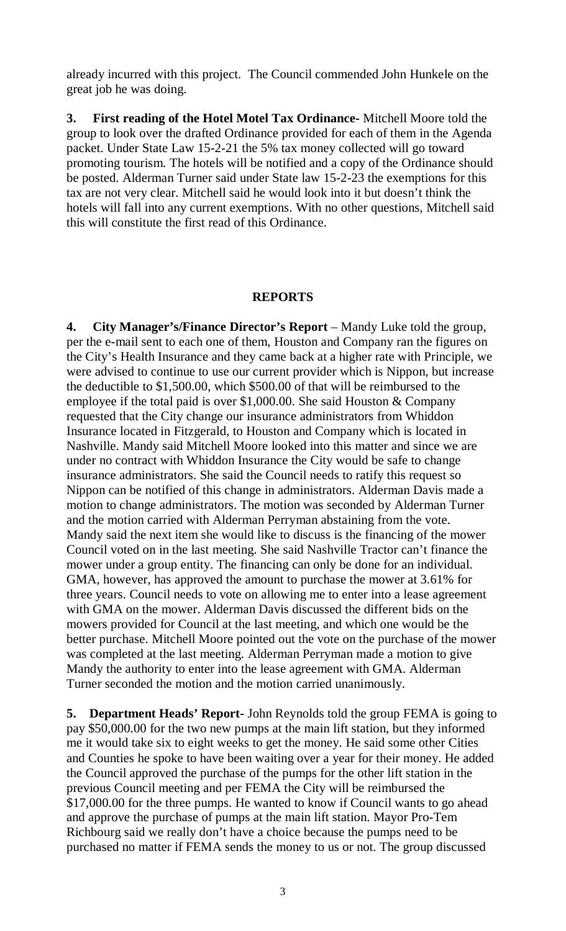already incurred with this project. The Council commended John Hunkele on the great job he was doing.

**3. First reading of the Hotel Motel Tax Ordinance-** Mitchell Moore told the group to look over the drafted Ordinance provided for each of them in the Agenda packet. Under State Law 15-2-21 the 5% tax money collected will go toward promoting tourism. The hotels will be notified and a copy of the Ordinance should be posted. Alderman Turner said under State law 15-2-23 the exemptions for this tax are not very clear. Mitchell said he would look into it but doesn't think the hotels will fall into any current exemptions. With no other questions, Mitchell said this will constitute the first read of this Ordinance.

#### **REPORTS**

**4. City Manager's/Finance Director's Report** – Mandy Luke told the group, per the e-mail sent to each one of them, Houston and Company ran the figures on the City's Health Insurance and they came back at a higher rate with Principle, we were advised to continue to use our current provider which is Nippon, but increase the deductible to \$1,500.00, which \$500.00 of that will be reimbursed to the employee if the total paid is over \$1,000.00. She said Houston & Company requested that the City change our insurance administrators from Whiddon Insurance located in Fitzgerald, to Houston and Company which is located in Nashville. Mandy said Mitchell Moore looked into this matter and since we are under no contract with Whiddon Insurance the City would be safe to change insurance administrators. She said the Council needs to ratify this request so Nippon can be notified of this change in administrators. Alderman Davis made a motion to change administrators. The motion was seconded by Alderman Turner and the motion carried with Alderman Perryman abstaining from the vote. Mandy said the next item she would like to discuss is the financing of the mower Council voted on in the last meeting. She said Nashville Tractor can't finance the mower under a group entity. The financing can only be done for an individual. GMA, however, has approved the amount to purchase the mower at 3.61% for three years. Council needs to vote on allowing me to enter into a lease agreement with GMA on the mower. Alderman Davis discussed the different bids on the mowers provided for Council at the last meeting, and which one would be the better purchase. Mitchell Moore pointed out the vote on the purchase of the mower was completed at the last meeting. Alderman Perryman made a motion to give Mandy the authority to enter into the lease agreement with GMA. Alderman Turner seconded the motion and the motion carried unanimously.

**5. Department Heads' Report-** John Reynolds told the group FEMA is going to pay \$50,000.00 for the two new pumps at the main lift station, but they informed me it would take six to eight weeks to get the money. He said some other Cities and Counties he spoke to have been waiting over a year for their money. He added the Council approved the purchase of the pumps for the other lift station in the previous Council meeting and per FEMA the City will be reimbursed the \$17,000.00 for the three pumps. He wanted to know if Council wants to go ahead and approve the purchase of pumps at the main lift station. Mayor Pro-Tem Richbourg said we really don't have a choice because the pumps need to be purchased no matter if FEMA sends the money to us or not. The group discussed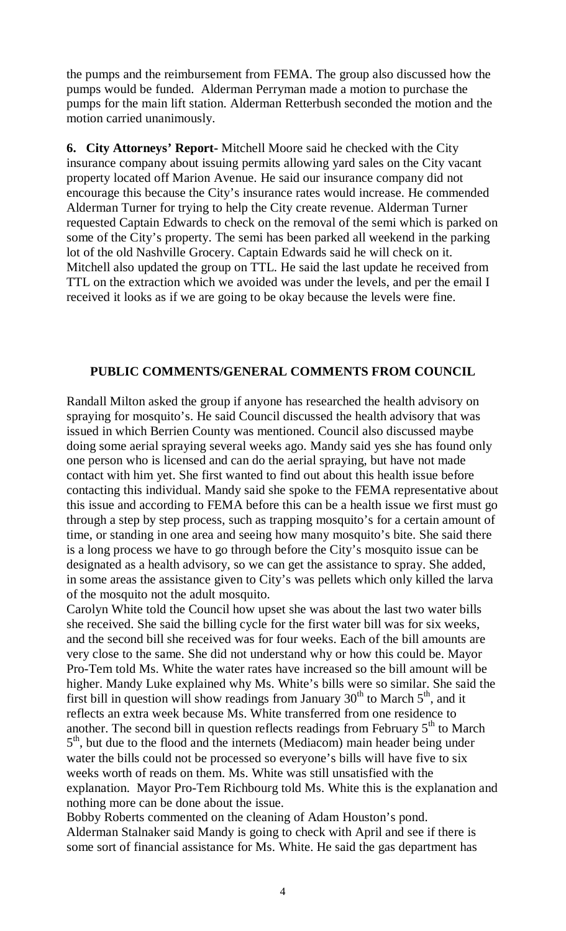the pumps and the reimbursement from FEMA. The group also discussed how the pumps would be funded. Alderman Perryman made a motion to purchase the pumps for the main lift station. Alderman Retterbush seconded the motion and the motion carried unanimously.

**6. City Attorneys' Report-** Mitchell Moore said he checked with the City insurance company about issuing permits allowing yard sales on the City vacant property located off Marion Avenue. He said our insurance company did not encourage this because the City's insurance rates would increase. He commended Alderman Turner for trying to help the City create revenue. Alderman Turner requested Captain Edwards to check on the removal of the semi which is parked on some of the City's property. The semi has been parked all weekend in the parking lot of the old Nashville Grocery. Captain Edwards said he will check on it. Mitchell also updated the group on TTL. He said the last update he received from TTL on the extraction which we avoided was under the levels, and per the email I received it looks as if we are going to be okay because the levels were fine.

#### **PUBLIC COMMENTS/GENERAL COMMENTS FROM COUNCIL**

Randall Milton asked the group if anyone has researched the health advisory on spraying for mosquito's. He said Council discussed the health advisory that was issued in which Berrien County was mentioned. Council also discussed maybe doing some aerial spraying several weeks ago. Mandy said yes she has found only one person who is licensed and can do the aerial spraying, but have not made contact with him yet. She first wanted to find out about this health issue before contacting this individual. Mandy said she spoke to the FEMA representative about this issue and according to FEMA before this can be a health issue we first must go through a step by step process, such as trapping mosquito's for a certain amount of time, or standing in one area and seeing how many mosquito's bite. She said there is a long process we have to go through before the City's mosquito issue can be designated as a health advisory, so we can get the assistance to spray. She added, in some areas the assistance given to City's was pellets which only killed the larva of the mosquito not the adult mosquito.

Carolyn White told the Council how upset she was about the last two water bills she received. She said the billing cycle for the first water bill was for six weeks, and the second bill she received was for four weeks. Each of the bill amounts are very close to the same. She did not understand why or how this could be. Mayor Pro-Tem told Ms. White the water rates have increased so the bill amount will be higher. Mandy Luke explained why Ms. White's bills were so similar. She said the first bill in question will show readings from January  $30<sup>th</sup>$  to March  $5<sup>th</sup>$ , and it reflects an extra week because Ms. White transferred from one residence to another. The second bill in question reflects readings from February  $5<sup>th</sup>$  to March 5<sup>th</sup>, but due to the flood and the internets (Mediacom) main header being under water the bills could not be processed so everyone's bills will have five to six weeks worth of reads on them. Ms. White was still unsatisfied with the explanation. Mayor Pro-Tem Richbourg told Ms. White this is the explanation and nothing more can be done about the issue.

Bobby Roberts commented on the cleaning of Adam Houston's pond. Alderman Stalnaker said Mandy is going to check with April and see if there is some sort of financial assistance for Ms. White. He said the gas department has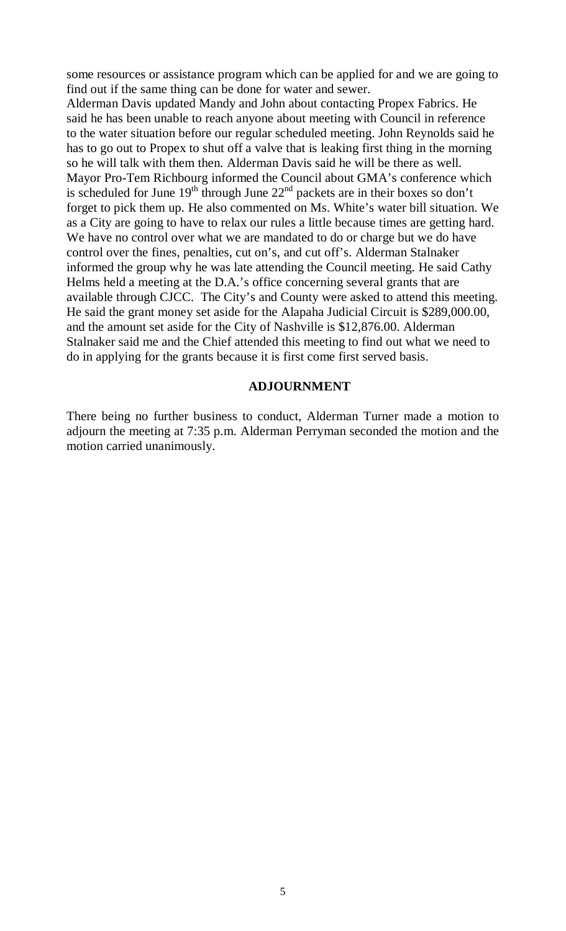some resources or assistance program which can be applied for and we are going to find out if the same thing can be done for water and sewer.

Alderman Davis updated Mandy and John about contacting Propex Fabrics. He said he has been unable to reach anyone about meeting with Council in reference to the water situation before our regular scheduled meeting. John Reynolds said he has to go out to Propex to shut off a valve that is leaking first thing in the morning so he will talk with them then. Alderman Davis said he will be there as well. Mayor Pro-Tem Richbourg informed the Council about GMA's conference which is scheduled for June  $19<sup>th</sup>$  through June  $22<sup>nd</sup>$  packets are in their boxes so don't forget to pick them up. He also commented on Ms. White's water bill situation. We as a City are going to have to relax our rules a little because times are getting hard. We have no control over what we are mandated to do or charge but we do have control over the fines, penalties, cut on's, and cut off's. Alderman Stalnaker informed the group why he was late attending the Council meeting. He said Cathy Helms held a meeting at the D.A.'s office concerning several grants that are available through CJCC. The City's and County were asked to attend this meeting. He said the grant money set aside for the Alapaha Judicial Circuit is \$289,000.00, and the amount set aside for the City of Nashville is \$12,876.00. Alderman Stalnaker said me and the Chief attended this meeting to find out what we need to do in applying for the grants because it is first come first served basis.

#### **ADJOURNMENT**

There being no further business to conduct, Alderman Turner made a motion to adjourn the meeting at 7:35 p.m. Alderman Perryman seconded the motion and the motion carried unanimously.